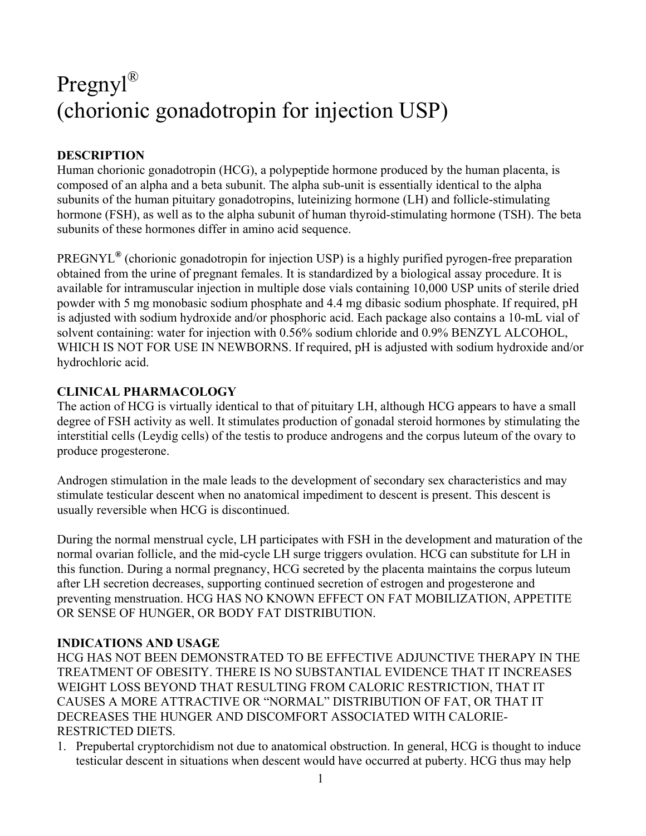# Pregnyl® (chorionic gonadotropin for injection USP)

# **DESCRIPTION**

Human chorionic gonadotropin (HCG), a polypeptide hormone produced by the human placenta, is composed of an alpha and a beta subunit. The alpha sub-unit is essentially identical to the alpha subunits of the human pituitary gonadotropins, luteinizing hormone (LH) and follicle-stimulating hormone (FSH), as well as to the alpha subunit of human thyroid-stimulating hormone (TSH). The beta subunits of these hormones differ in amino acid sequence.

PREGNYL**®** (chorionic gonadotropin for injection USP) is a highly purified pyrogen-free preparation obtained from the urine of pregnant females. It is standardized by a biological assay procedure. It is available for intramuscular injection in multiple dose vials containing 10,000 USP units of sterile dried powder with 5 mg monobasic sodium phosphate and 4.4 mg dibasic sodium phosphate. If required, pH is adjusted with sodium hydroxide and/or phosphoric acid. Each package also contains a 10-mL vial of solvent containing: water for injection with 0.56% sodium chloride and 0.9% BENZYL ALCOHOL, WHICH IS NOT FOR USE IN NEWBORNS. If required, pH is adjusted with sodium hydroxide and/or hydrochloric acid.

## **CLINICAL PHARMACOLOGY**

The action of HCG is virtually identical to that of pituitary LH, although HCG appears to have a small degree of FSH activity as well. It stimulates production of gonadal steroid hormones by stimulating the interstitial cells (Leydig cells) of the testis to produce androgens and the corpus luteum of the ovary to produce progesterone.

Androgen stimulation in the male leads to the development of secondary sex characteristics and may stimulate testicular descent when no anatomical impediment to descent is present. This descent is usually reversible when HCG is discontinued.

During the normal menstrual cycle, LH participates with FSH in the development and maturation of the normal ovarian follicle, and the mid-cycle LH surge triggers ovulation. HCG can substitute for LH in this function. During a normal pregnancy, HCG secreted by the placenta maintains the corpus luteum after LH secretion decreases, supporting continued secretion of estrogen and progesterone and preventing menstruation. HCG HAS NO KNOWN EFFECT ON FAT MOBILIZATION, APPETITE OR SENSE OF HUNGER, OR BODY FAT DISTRIBUTION.

#### **INDICATIONS AND USAGE**

HCG HAS NOT BEEN DEMONSTRATED TO BE EFFECTIVE ADJUNCTIVE THERAPY IN THE TREATMENT OF OBESITY. THERE IS NO SUBSTANTIAL EVIDENCE THAT IT INCREASES WEIGHT LOSS BEYOND THAT RESULTING FROM CALORIC RESTRICTION, THAT IT CAUSES A MORE ATTRACTIVE OR "NORMAL" DISTRIBUTION OF FAT, OR THAT IT DECREASES THE HUNGER AND DISCOMFORT ASSOCIATED WITH CALORIE-RESTRICTED DIETS.

1. Prepubertal cryptorchidism not due to anatomical obstruction. In general, HCG is thought to induce testicular descent in situations when descent would have occurred at puberty. HCG thus may help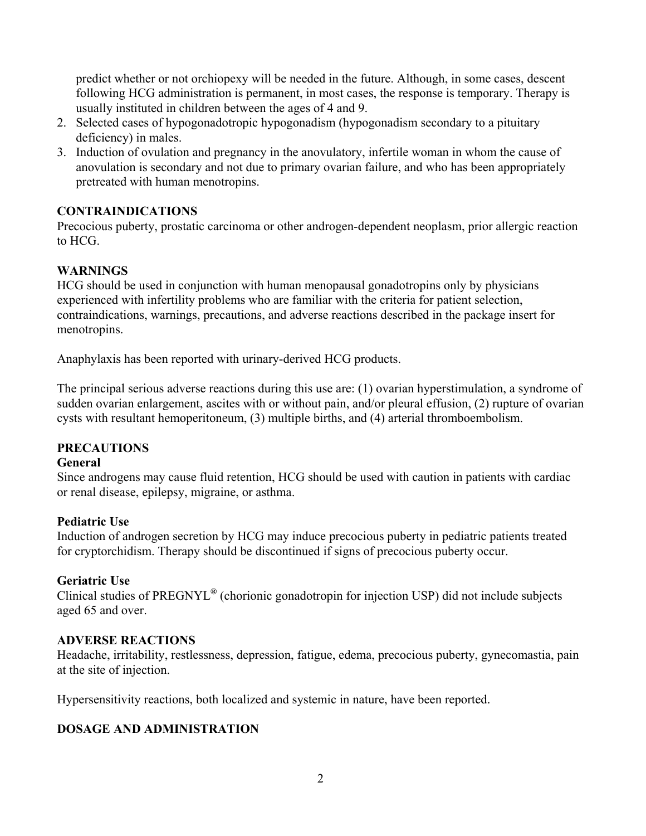predict whether or not orchiopexy will be needed in the future. Although, in some cases, descent following HCG administration is permanent, in most cases, the response is temporary. Therapy is usually instituted in children between the ages of 4 and 9.

- 2. Selected cases of hypogonadotropic hypogonadism (hypogonadism secondary to a pituitary deficiency) in males.
- 3. Induction of ovulation and pregnancy in the anovulatory, infertile woman in whom the cause of anovulation is secondary and not due to primary ovarian failure, and who has been appropriately pretreated with human menotropins.

## **CONTRAINDICATIONS**

Precocious puberty, prostatic carcinoma or other androgen-dependent neoplasm, prior allergic reaction to HCG.

# **WARNINGS**

HCG should be used in conjunction with human menopausal gonadotropins only by physicians experienced with infertility problems who are familiar with the criteria for patient selection, contraindications, warnings, precautions, and adverse reactions described in the package insert for menotropins.

Anaphylaxis has been reported with urinary-derived HCG products.

The principal serious adverse reactions during this use are: (1) ovarian hyperstimulation, a syndrome of sudden ovarian enlargement, ascites with or without pain, and/or pleural effusion, (2) rupture of ovarian cysts with resultant hemoperitoneum, (3) multiple births, and (4) arterial thromboembolism.

## **PRECAUTIONS**

#### **General**

Since androgens may cause fluid retention, HCG should be used with caution in patients with cardiac or renal disease, epilepsy, migraine, or asthma.

#### **Pediatric Use**

Induction of androgen secretion by HCG may induce precocious puberty in pediatric patients treated for cryptorchidism. Therapy should be discontinued if signs of precocious puberty occur.

## **Geriatric Use**

Clinical studies of PREGNYL**®** (chorionic gonadotropin for injection USP) did not include subjects aged 65 and over.

## **ADVERSE REACTIONS**

Headache, irritability, restlessness, depression, fatigue, edema, precocious puberty, gynecomastia, pain at the site of injection.

Hypersensitivity reactions, both localized and systemic in nature, have been reported.

## **DOSAGE AND ADMINISTRATION**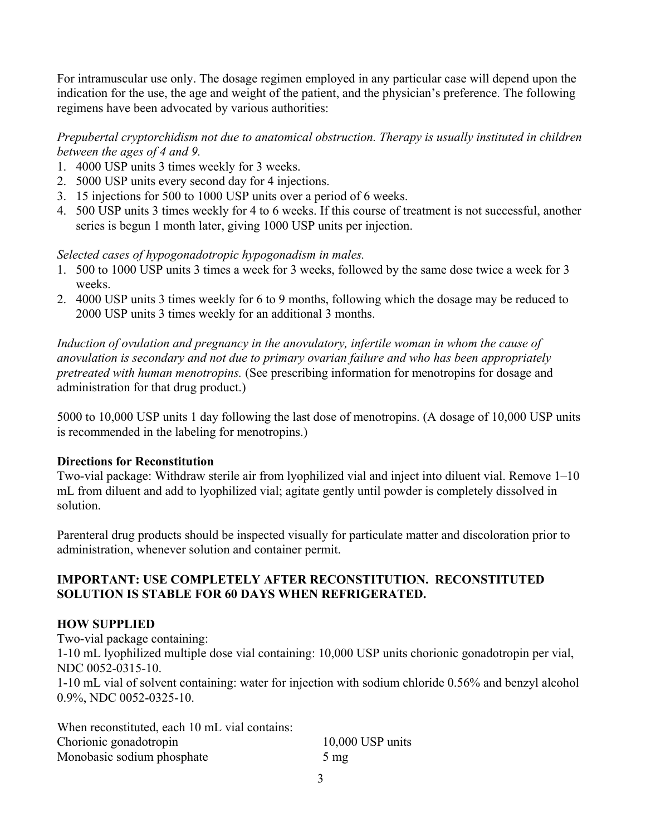For intramuscular use only. The dosage regimen employed in any particular case will depend upon the indication for the use, the age and weight of the patient, and the physician's preference. The following regimens have been advocated by various authorities:

*Prepubertal cryptorchidism not due to anatomical obstruction. Therapy is usually instituted in children between the ages of 4 and 9.* 

- 1. 4000 USP units 3 times weekly for 3 weeks.
- 2. 5000 USP units every second day for 4 injections.
- 3. 15 injections for 500 to 1000 USP units over a period of 6 weeks.
- 4. 500 USP units 3 times weekly for 4 to 6 weeks. If this course of treatment is not successful, another series is begun 1 month later, giving 1000 USP units per injection.

*Selected cases of hypogonadotropic hypogonadism in males.* 

- 1. 500 to 1000 USP units 3 times a week for 3 weeks, followed by the same dose twice a week for 3 weeks.
- 2. 4000 USP units 3 times weekly for 6 to 9 months, following which the dosage may be reduced to 2000 USP units 3 times weekly for an additional 3 months.

*Induction of ovulation and pregnancy in the anovulatory, infertile woman in whom the cause of anovulation is secondary and not due to primary ovarian failure and who has been appropriately pretreated with human menotropins.* (See prescribing information for menotropins for dosage and administration for that drug product.)

5000 to 10,000 USP units 1 day following the last dose of menotropins. (A dosage of 10,000 USP units is recommended in the labeling for menotropins.)

## **Directions for Reconstitution**

Two-vial package: Withdraw sterile air from lyophilized vial and inject into diluent vial. Remove 1–10 mL from diluent and add to lyophilized vial; agitate gently until powder is completely dissolved in solution.

Parenteral drug products should be inspected visually for particulate matter and discoloration prior to administration, whenever solution and container permit.

## **IMPORTANT: USE COMPLETELY AFTER RECONSTITUTION. RECONSTITUTED SOLUTION IS STABLE FOR 60 DAYS WHEN REFRIGERATED.**

## **HOW SUPPLIED**

Two-vial package containing: 1-10 mL lyophilized multiple dose vial containing: 10,000 USP units chorionic gonadotropin per vial, NDC 0052-0315-10. 1-10 mL vial of solvent containing: water for injection with sodium chloride 0.56% and benzyl alcohol

0.9%, NDC 0052-0325-10.

| When reconstituted, each 10 mL vial contains: |                    |
|-----------------------------------------------|--------------------|
| Chorionic gonadotropin                        | $10,000$ USP units |
| Monobasic sodium phosphate                    | $5 \text{ mg}$     |